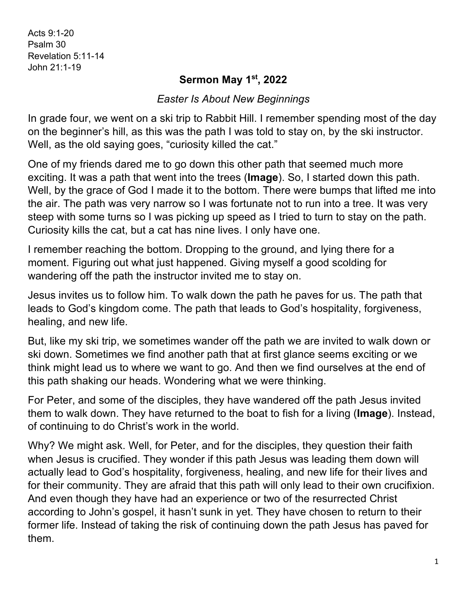Acts 9:1-20 Psalm 30 Revelation 5:11-14 John 21:1-19

## **Sermon May 1st, 2022**

## *Easter Is About New Beginnings*

In grade four, we went on a ski trip to Rabbit Hill. I remember spending most of the day on the beginner's hill, as this was the path I was told to stay on, by the ski instructor. Well, as the old saying goes, "curiosity killed the cat."

One of my friends dared me to go down this other path that seemed much more exciting. It was a path that went into the trees (**Image**). So, I started down this path. Well, by the grace of God I made it to the bottom. There were bumps that lifted me into the air. The path was very narrow so I was fortunate not to run into a tree. It was very steep with some turns so I was picking up speed as I tried to turn to stay on the path. Curiosity kills the cat, but a cat has nine lives. I only have one.

I remember reaching the bottom. Dropping to the ground, and lying there for a moment. Figuring out what just happened. Giving myself a good scolding for wandering off the path the instructor invited me to stay on.

Jesus invites us to follow him. To walk down the path he paves for us. The path that leads to God's kingdom come. The path that leads to God's hospitality, forgiveness, healing, and new life.

But, like my ski trip, we sometimes wander off the path we are invited to walk down or ski down. Sometimes we find another path that at first glance seems exciting or we think might lead us to where we want to go. And then we find ourselves at the end of this path shaking our heads. Wondering what we were thinking.

For Peter, and some of the disciples, they have wandered off the path Jesus invited them to walk down. They have returned to the boat to fish for a living (**Image**). Instead, of continuing to do Christ's work in the world.

Why? We might ask. Well, for Peter, and for the disciples, they question their faith when Jesus is crucified. They wonder if this path Jesus was leading them down will actually lead to God's hospitality, forgiveness, healing, and new life for their lives and for their community. They are afraid that this path will only lead to their own crucifixion. And even though they have had an experience or two of the resurrected Christ according to John's gospel, it hasn't sunk in yet. They have chosen to return to their former life. Instead of taking the risk of continuing down the path Jesus has paved for them.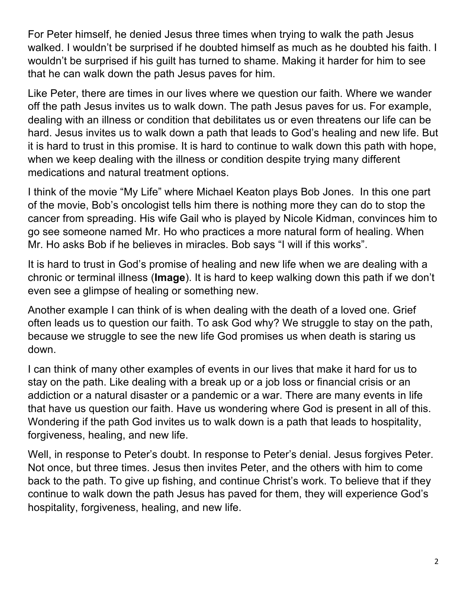For Peter himself, he denied Jesus three times when trying to walk the path Jesus walked. I wouldn't be surprised if he doubted himself as much as he doubted his faith. I wouldn't be surprised if his guilt has turned to shame. Making it harder for him to see that he can walk down the path Jesus paves for him.

Like Peter, there are times in our lives where we question our faith. Where we wander off the path Jesus invites us to walk down. The path Jesus paves for us. For example, dealing with an illness or condition that debilitates us or even threatens our life can be hard. Jesus invites us to walk down a path that leads to God's healing and new life. But it is hard to trust in this promise. It is hard to continue to walk down this path with hope, when we keep dealing with the illness or condition despite trying many different medications and natural treatment options.

I think of the movie "My Life" where Michael Keaton plays Bob Jones. In this one part of the movie, Bob's oncologist tells him there is nothing more they can do to stop the cancer from spreading. His wife Gail who is played by Nicole Kidman, convinces him to go see someone named Mr. Ho who practices a more natural form of healing. When Mr. Ho asks Bob if he believes in miracles. Bob says "I will if this works".

It is hard to trust in God's promise of healing and new life when we are dealing with a chronic or terminal illness (**Image**). It is hard to keep walking down this path if we don't even see a glimpse of healing or something new.

Another example I can think of is when dealing with the death of a loved one. Grief often leads us to question our faith. To ask God why? We struggle to stay on the path, because we struggle to see the new life God promises us when death is staring us down.

I can think of many other examples of events in our lives that make it hard for us to stay on the path. Like dealing with a break up or a job loss or financial crisis or an addiction or a natural disaster or a pandemic or a war. There are many events in life that have us question our faith. Have us wondering where God is present in all of this. Wondering if the path God invites us to walk down is a path that leads to hospitality, forgiveness, healing, and new life.

Well, in response to Peter's doubt. In response to Peter's denial. Jesus forgives Peter. Not once, but three times. Jesus then invites Peter, and the others with him to come back to the path. To give up fishing, and continue Christ's work. To believe that if they continue to walk down the path Jesus has paved for them, they will experience God's hospitality, forgiveness, healing, and new life.